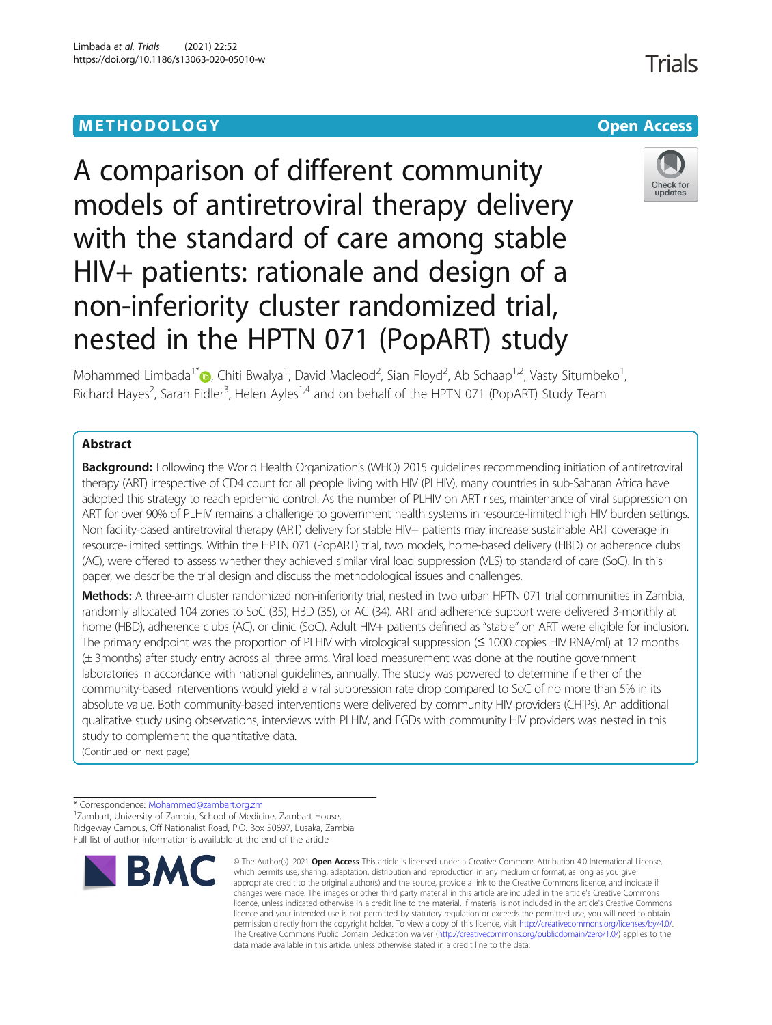# **METHODOLOGY CONSUMING ACCESS CONSUMING ACCESS**



A comparison of different community models of antiretroviral therapy delivery with the standard of care among stable HIV+ patients: rationale and design of a non-inferiority cluster randomized trial, nested in the HPTN 071 (PopART) study

Mohammed Limbada<sup>1\*</sup>®[,](http://orcid.org/0000-0002-3736-1462) Chiti Bwalya<sup>1</sup>, David Macleod<sup>2</sup>, Sian Floyd<sup>2</sup>, Ab Schaap<sup>1,2</sup>, Vasty Situmbeko<sup>1</sup> , Richard Hayes<sup>2</sup>, Sarah Fidler<sup>3</sup>, Helen Ayles<sup>1,4</sup> and on behalf of the HPTN 071 (PopART) Study Team

# Abstract

**Background:** Following the World Health Organization's (WHO) 2015 guidelines recommending initiation of antiretroviral therapy (ART) irrespective of CD4 count for all people living with HIV (PLHIV), many countries in sub-Saharan Africa have adopted this strategy to reach epidemic control. As the number of PLHIV on ART rises, maintenance of viral suppression on ART for over 90% of PLHIV remains a challenge to government health systems in resource-limited high HIV burden settings. Non facility-based antiretroviral therapy (ART) delivery for stable HIV+ patients may increase sustainable ART coverage in resource-limited settings. Within the HPTN 071 (PopART) trial, two models, home-based delivery (HBD) or adherence clubs (AC), were offered to assess whether they achieved similar viral load suppression (VLS) to standard of care (SoC). In this paper, we describe the trial design and discuss the methodological issues and challenges.

Methods: A three-arm cluster randomized non-inferiority trial, nested in two urban HPTN 071 trial communities in Zambia, randomly allocated 104 zones to SoC (35), HBD (35), or AC (34). ART and adherence support were delivered 3-monthly at home (HBD), adherence clubs (AC), or clinic (SoC). Adult HIV+ patients defined as "stable" on ART were eligible for inclusion. The primary endpoint was the proportion of PLHIV with virological suppression (≤ 1000 copies HIV RNA/ml) at 12 months (± 3months) after study entry across all three arms. Viral load measurement was done at the routine government laboratories in accordance with national guidelines, annually. The study was powered to determine if either of the community-based interventions would yield a viral suppression rate drop compared to SoC of no more than 5% in its absolute value. Both community-based interventions were delivered by community HIV providers (CHiPs). An additional qualitative study using observations, interviews with PLHIV, and FGDs with community HIV providers was nested in this study to complement the quantitative data.

(Continued on next page)

\* Correspondence: [Mohammed@zambart.org.zm](mailto:Mohammed@zambart.org.zm) <sup>1</sup> <sup>1</sup> Zambart, University of Zambia, School of Medicine, Zambart House, Ridgeway Campus, Off Nationalist Road, P.O. Box 50697, Lusaka, Zambia Full list of author information is available at the end of the article



<sup>©</sup> The Author(s), 2021 **Open Access** This article is licensed under a Creative Commons Attribution 4.0 International License, which permits use, sharing, adaptation, distribution and reproduction in any medium or format, as long as you give appropriate credit to the original author(s) and the source, provide a link to the Creative Commons licence, and indicate if changes were made. The images or other third party material in this article are included in the article's Creative Commons licence, unless indicated otherwise in a credit line to the material. If material is not included in the article's Creative Commons licence and your intended use is not permitted by statutory regulation or exceeds the permitted use, you will need to obtain permission directly from the copyright holder. To view a copy of this licence, visit [http://creativecommons.org/licenses/by/4.0/.](http://creativecommons.org/licenses/by/4.0/) The Creative Commons Public Domain Dedication waiver [\(http://creativecommons.org/publicdomain/zero/1.0/](http://creativecommons.org/publicdomain/zero/1.0/)) applies to the data made available in this article, unless otherwise stated in a credit line to the data.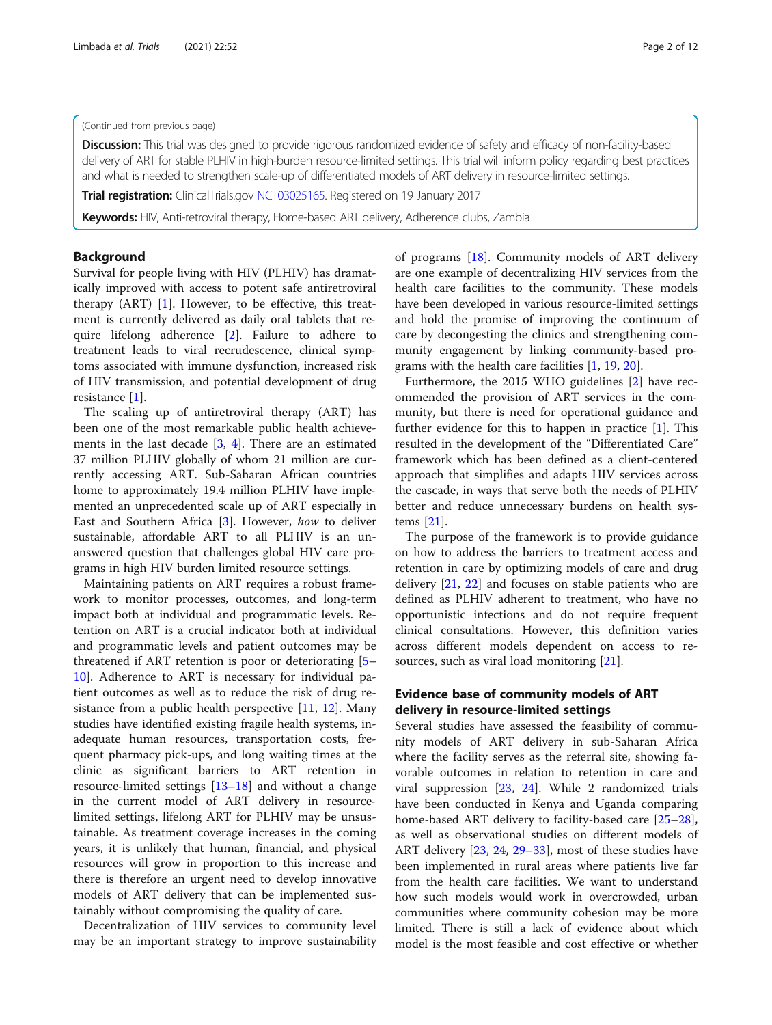#### (Continued from previous page)

**Discussion:** This trial was designed to provide rigorous randomized evidence of safety and efficacy of non-facility-based delivery of ART for stable PLHIV in high-burden resource-limited settings. This trial will inform policy regarding best practices and what is needed to strengthen scale-up of differentiated models of ART delivery in resource-limited settings.

Trial registration: ClinicalTrials.gov [NCT03025165.](https://clinicaltrials.gov/ct2/show/NCT03025165) Registered on 19 January 2017

Keywords: HIV, Anti-retroviral therapy, Home-based ART delivery, Adherence clubs, Zambia

# Background

Survival for people living with HIV (PLHIV) has dramatically improved with access to potent safe antiretroviral therapy  $(ART)$  [[1\]](#page-11-0). However, to be effective, this treatment is currently delivered as daily oral tablets that require lifelong adherence [[2\]](#page-11-0). Failure to adhere to treatment leads to viral recrudescence, clinical symptoms associated with immune dysfunction, increased risk of HIV transmission, and potential development of drug resistance [[1\]](#page-11-0).

The scaling up of antiretroviral therapy (ART) has been one of the most remarkable public health achievements in the last decade [\[3](#page-11-0), [4](#page-11-0)]. There are an estimated 37 million PLHIV globally of whom 21 million are currently accessing ART. Sub-Saharan African countries home to approximately 19.4 million PLHIV have implemented an unprecedented scale up of ART especially in East and Southern Africa [[3\]](#page-11-0). However, how to deliver sustainable, affordable ART to all PLHIV is an unanswered question that challenges global HIV care programs in high HIV burden limited resource settings.

Maintaining patients on ART requires a robust framework to monitor processes, outcomes, and long-term impact both at individual and programmatic levels. Retention on ART is a crucial indicator both at individual and programmatic levels and patient outcomes may be threatened if ART retention is poor or deteriorating [[5](#page-11-0)– [10\]](#page-11-0). Adherence to ART is necessary for individual patient outcomes as well as to reduce the risk of drug resistance from a public health perspective [\[11,](#page-11-0) [12](#page-11-0)]. Many studies have identified existing fragile health systems, inadequate human resources, transportation costs, frequent pharmacy pick-ups, and long waiting times at the clinic as significant barriers to ART retention in resource-limited settings [[13](#page-11-0)–[18\]](#page-11-0) and without a change in the current model of ART delivery in resourcelimited settings, lifelong ART for PLHIV may be unsustainable. As treatment coverage increases in the coming years, it is unlikely that human, financial, and physical resources will grow in proportion to this increase and there is therefore an urgent need to develop innovative models of ART delivery that can be implemented sustainably without compromising the quality of care.

Decentralization of HIV services to community level may be an important strategy to improve sustainability of programs [[18](#page-11-0)]. Community models of ART delivery are one example of decentralizing HIV services from the health care facilities to the community. These models have been developed in various resource-limited settings and hold the promise of improving the continuum of care by decongesting the clinics and strengthening community engagement by linking community-based programs with the health care facilities [\[1](#page-11-0), [19](#page-11-0), [20](#page-11-0)].

Furthermore, the 2015 WHO guidelines [\[2](#page-11-0)] have recommended the provision of ART services in the community, but there is need for operational guidance and further evidence for this to happen in practice [\[1](#page-11-0)]. This resulted in the development of the "Differentiated Care" framework which has been defined as a client-centered approach that simplifies and adapts HIV services across the cascade, in ways that serve both the needs of PLHIV better and reduce unnecessary burdens on health systems [\[21](#page-11-0)].

The purpose of the framework is to provide guidance on how to address the barriers to treatment access and retention in care by optimizing models of care and drug delivery [\[21](#page-11-0), [22\]](#page-11-0) and focuses on stable patients who are defined as PLHIV adherent to treatment, who have no opportunistic infections and do not require frequent clinical consultations. However, this definition varies across different models dependent on access to resources, such as viral load monitoring [\[21\]](#page-11-0).

# Evidence base of community models of ART delivery in resource-limited settings

Several studies have assessed the feasibility of community models of ART delivery in sub-Saharan Africa where the facility serves as the referral site, showing favorable outcomes in relation to retention in care and viral suppression [\[23,](#page-11-0) [24](#page-11-0)]. While 2 randomized trials have been conducted in Kenya and Uganda comparing home-based ART delivery to facility-based care [[25](#page-11-0)–[28](#page-11-0)], as well as observational studies on different models of ART delivery [\[23](#page-11-0), [24](#page-11-0), [29](#page-11-0)–[33](#page-11-0)], most of these studies have been implemented in rural areas where patients live far from the health care facilities. We want to understand how such models would work in overcrowded, urban communities where community cohesion may be more limited. There is still a lack of evidence about which model is the most feasible and cost effective or whether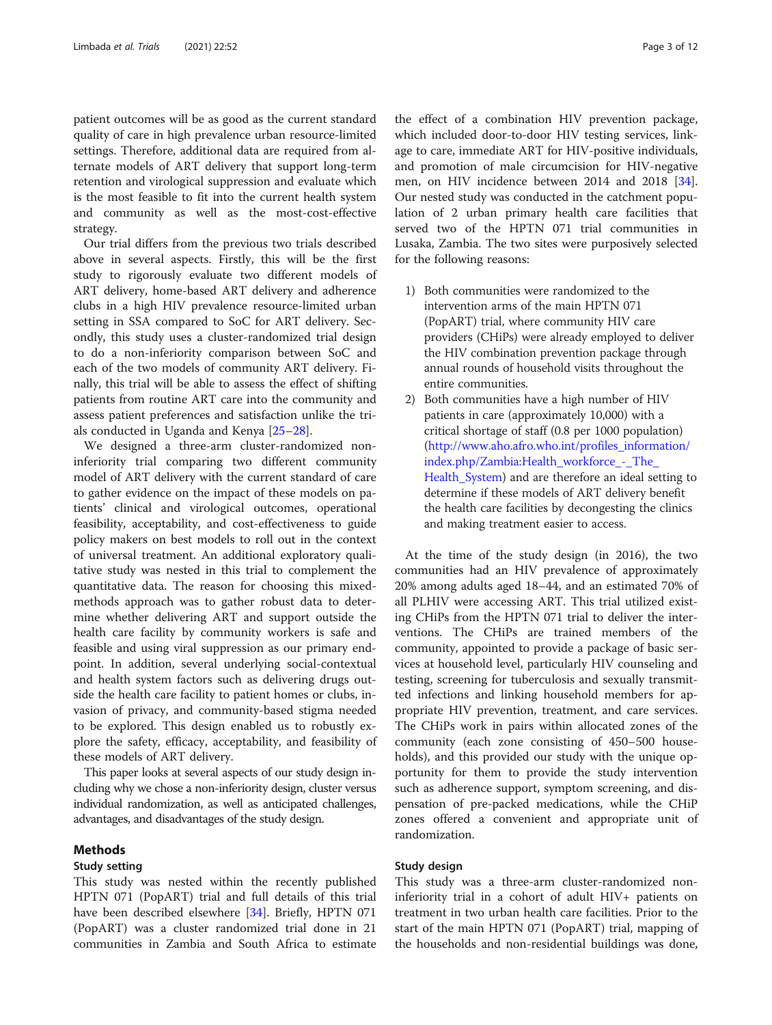patient outcomes will be as good as the current standard quality of care in high prevalence urban resource-limited settings. Therefore, additional data are required from alternate models of ART delivery that support long-term retention and virological suppression and evaluate which is the most feasible to fit into the current health system and community as well as the most-cost-effective strategy.

Our trial differs from the previous two trials described above in several aspects. Firstly, this will be the first study to rigorously evaluate two different models of ART delivery, home-based ART delivery and adherence clubs in a high HIV prevalence resource-limited urban setting in SSA compared to SoC for ART delivery. Secondly, this study uses a cluster-randomized trial design to do a non-inferiority comparison between SoC and each of the two models of community ART delivery. Finally, this trial will be able to assess the effect of shifting patients from routine ART care into the community and assess patient preferences and satisfaction unlike the trials conducted in Uganda and Kenya [\[25](#page-11-0)–[28\]](#page-11-0).

We designed a three-arm cluster-randomized noninferiority trial comparing two different community model of ART delivery with the current standard of care to gather evidence on the impact of these models on patients' clinical and virological outcomes, operational feasibility, acceptability, and cost-effectiveness to guide policy makers on best models to roll out in the context of universal treatment. An additional exploratory qualitative study was nested in this trial to complement the quantitative data. The reason for choosing this mixedmethods approach was to gather robust data to determine whether delivering ART and support outside the health care facility by community workers is safe and feasible and using viral suppression as our primary endpoint. In addition, several underlying social-contextual and health system factors such as delivering drugs outside the health care facility to patient homes or clubs, invasion of privacy, and community-based stigma needed to be explored. This design enabled us to robustly explore the safety, efficacy, acceptability, and feasibility of these models of ART delivery.

This paper looks at several aspects of our study design including why we chose a non-inferiority design, cluster versus individual randomization, as well as anticipated challenges, advantages, and disadvantages of the study design.

## Methods

#### Study setting

This study was nested within the recently published HPTN 071 (PopART) trial and full details of this trial have been described elsewhere [[34\]](#page-11-0). Briefly, HPTN 071 (PopART) was a cluster randomized trial done in 21 communities in Zambia and South Africa to estimate

the effect of a combination HIV prevention package, which included door-to-door HIV testing services, linkage to care, immediate ART for HIV-positive individuals, and promotion of male circumcision for HIV-negative men, on HIV incidence between 2014 and 2018 [\[34](#page-11-0)]. Our nested study was conducted in the catchment population of 2 urban primary health care facilities that served two of the HPTN 071 trial communities in Lusaka, Zambia. The two sites were purposively selected for the following reasons:

- 1) Both communities were randomized to the intervention arms of the main HPTN 071 (PopART) trial, where community HIV care providers (CHiPs) were already employed to deliver the HIV combination prevention package through annual rounds of household visits throughout the entire communities.
- 2) Both communities have a high number of HIV patients in care (approximately 10,000) with a critical shortage of staff (0.8 per 1000 population) ([http://www.aho.afro.who.int/profiles\\_information/](http://www.aho.afro.who.int/profiles_information/index.php/Zambia:Health_workforce_-_The_Health_System) [index.php/Zambia:Health\\_workforce\\_-\\_The\\_](http://www.aho.afro.who.int/profiles_information/index.php/Zambia:Health_workforce_-_The_Health_System) [Health\\_System\)](http://www.aho.afro.who.int/profiles_information/index.php/Zambia:Health_workforce_-_The_Health_System) and are therefore an ideal setting to determine if these models of ART delivery benefit the health care facilities by decongesting the clinics and making treatment easier to access.

At the time of the study design (in 2016), the two communities had an HIV prevalence of approximately 20% among adults aged 18–44, and an estimated 70% of all PLHIV were accessing ART. This trial utilized existing CHiPs from the HPTN 071 trial to deliver the interventions. The CHiPs are trained members of the community, appointed to provide a package of basic services at household level, particularly HIV counseling and testing, screening for tuberculosis and sexually transmitted infections and linking household members for appropriate HIV prevention, treatment, and care services. The CHiPs work in pairs within allocated zones of the community (each zone consisting of 450–500 households), and this provided our study with the unique opportunity for them to provide the study intervention such as adherence support, symptom screening, and dispensation of pre-packed medications, while the CHiP zones offered a convenient and appropriate unit of randomization.

#### Study design

This study was a three-arm cluster-randomized noninferiority trial in a cohort of adult HIV+ patients on treatment in two urban health care facilities. Prior to the start of the main HPTN 071 (PopART) trial, mapping of the households and non-residential buildings was done,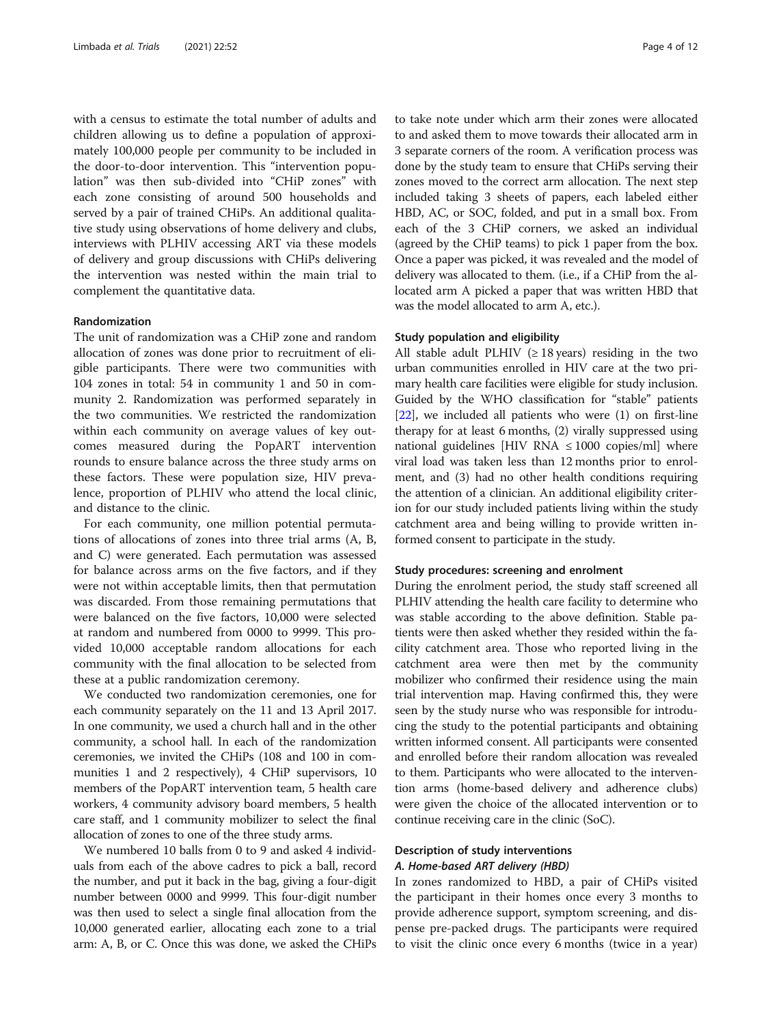with a census to estimate the total number of adults and children allowing us to define a population of approximately 100,000 people per community to be included in the door-to-door intervention. This "intervention population" was then sub-divided into "CHiP zones" with each zone consisting of around 500 households and served by a pair of trained CHiPs. An additional qualitative study using observations of home delivery and clubs, interviews with PLHIV accessing ART via these models of delivery and group discussions with CHiPs delivering the intervention was nested within the main trial to complement the quantitative data.

#### Randomization

The unit of randomization was a CHiP zone and random allocation of zones was done prior to recruitment of eligible participants. There were two communities with 104 zones in total: 54 in community 1 and 50 in community 2. Randomization was performed separately in the two communities. We restricted the randomization within each community on average values of key outcomes measured during the PopART intervention rounds to ensure balance across the three study arms on these factors. These were population size, HIV prevalence, proportion of PLHIV who attend the local clinic, and distance to the clinic.

For each community, one million potential permutations of allocations of zones into three trial arms (A, B, and C) were generated. Each permutation was assessed for balance across arms on the five factors, and if they were not within acceptable limits, then that permutation was discarded. From those remaining permutations that were balanced on the five factors, 10,000 were selected at random and numbered from 0000 to 9999. This provided 10,000 acceptable random allocations for each community with the final allocation to be selected from these at a public randomization ceremony.

We conducted two randomization ceremonies, one for each community separately on the 11 and 13 April 2017. In one community, we used a church hall and in the other community, a school hall. In each of the randomization ceremonies, we invited the CHiPs (108 and 100 in communities 1 and 2 respectively), 4 CHiP supervisors, 10 members of the PopART intervention team, 5 health care workers, 4 community advisory board members, 5 health care staff, and 1 community mobilizer to select the final allocation of zones to one of the three study arms.

We numbered 10 balls from 0 to 9 and asked 4 individuals from each of the above cadres to pick a ball, record the number, and put it back in the bag, giving a four-digit number between 0000 and 9999. This four-digit number was then used to select a single final allocation from the 10,000 generated earlier, allocating each zone to a trial arm: A, B, or C. Once this was done, we asked the CHiPs

to take note under which arm their zones were allocated to and asked them to move towards their allocated arm in 3 separate corners of the room. A verification process was done by the study team to ensure that CHiPs serving their zones moved to the correct arm allocation. The next step included taking 3 sheets of papers, each labeled either HBD, AC, or SOC, folded, and put in a small box. From each of the 3 CHiP corners, we asked an individual (agreed by the CHiP teams) to pick 1 paper from the box. Once a paper was picked, it was revealed and the model of delivery was allocated to them. (i.e., if a CHiP from the allocated arm A picked a paper that was written HBD that was the model allocated to arm A, etc.).

#### Study population and eligibility

All stable adult PLHIV ( $\geq$  18 years) residing in the two urban communities enrolled in HIV care at the two primary health care facilities were eligible for study inclusion. Guided by the WHO classification for "stable" patients [[22](#page-11-0)], we included all patients who were (1) on first-line therapy for at least 6 months, (2) virally suppressed using national guidelines [HIV RNA  $\leq 1000$  copies/ml] where viral load was taken less than 12 months prior to enrolment, and (3) had no other health conditions requiring the attention of a clinician. An additional eligibility criterion for our study included patients living within the study catchment area and being willing to provide written informed consent to participate in the study.

#### Study procedures: screening and enrolment

During the enrolment period, the study staff screened all PLHIV attending the health care facility to determine who was stable according to the above definition. Stable patients were then asked whether they resided within the facility catchment area. Those who reported living in the catchment area were then met by the community mobilizer who confirmed their residence using the main trial intervention map. Having confirmed this, they were seen by the study nurse who was responsible for introducing the study to the potential participants and obtaining written informed consent. All participants were consented and enrolled before their random allocation was revealed to them. Participants who were allocated to the intervention arms (home-based delivery and adherence clubs) were given the choice of the allocated intervention or to continue receiving care in the clinic (SoC).

# Description of study interventions A. Home-based ART delivery (HBD)

In zones randomized to HBD, a pair of CHiPs visited the participant in their homes once every 3 months to provide adherence support, symptom screening, and dispense pre-packed drugs. The participants were required to visit the clinic once every 6 months (twice in a year)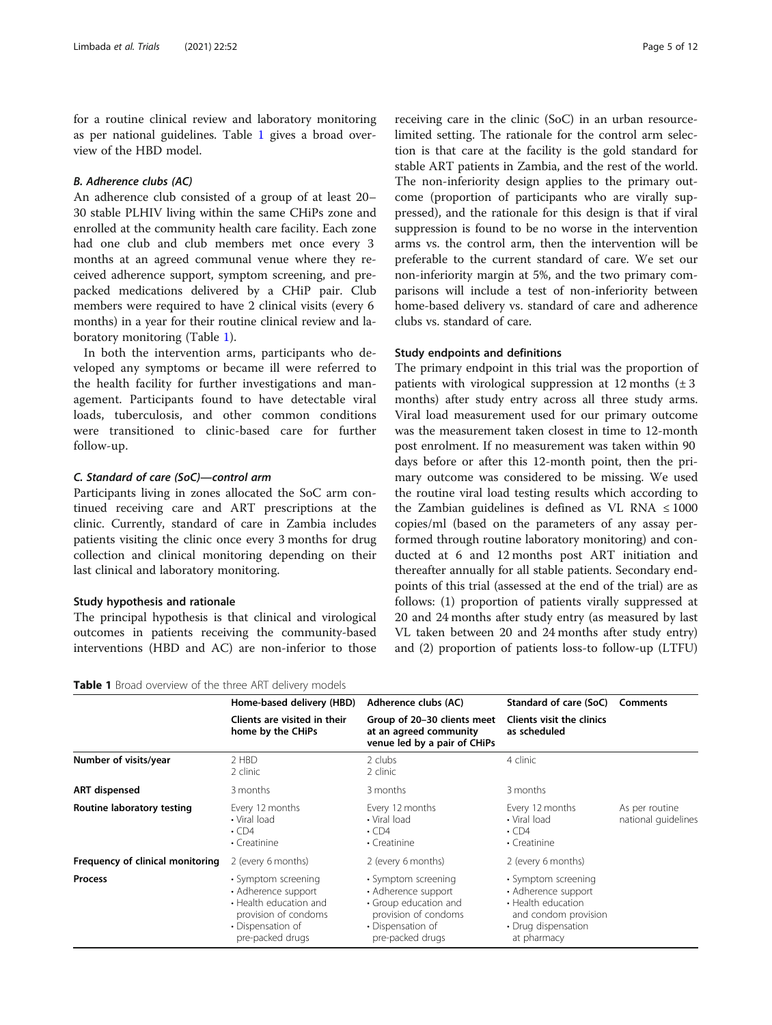for a routine clinical review and laboratory monitoring as per national guidelines. Table 1 gives a broad overview of the HBD model.

# B. Adherence clubs (AC)

An adherence club consisted of a group of at least 20– 30 stable PLHIV living within the same CHiPs zone and enrolled at the community health care facility. Each zone had one club and club members met once every 3 months at an agreed communal venue where they received adherence support, symptom screening, and prepacked medications delivered by a CHiP pair. Club members were required to have 2 clinical visits (every 6 months) in a year for their routine clinical review and laboratory monitoring (Table 1).

In both the intervention arms, participants who developed any symptoms or became ill were referred to the health facility for further investigations and management. Participants found to have detectable viral loads, tuberculosis, and other common conditions were transitioned to clinic-based care for further follow-up.

### C. Standard of care (SoC)—control arm

Participants living in zones allocated the SoC arm continued receiving care and ART prescriptions at the clinic. Currently, standard of care in Zambia includes patients visiting the clinic once every 3 months for drug collection and clinical monitoring depending on their last clinical and laboratory monitoring.

#### Study hypothesis and rationale

The principal hypothesis is that clinical and virological outcomes in patients receiving the community-based interventions (HBD and AC) are non-inferior to those

Table 1 Broad overview of the three ART delivery models

receiving care in the clinic (SoC) in an urban resourcelimited setting. The rationale for the control arm selection is that care at the facility is the gold standard for stable ART patients in Zambia, and the rest of the world. The non-inferiority design applies to the primary outcome (proportion of participants who are virally suppressed), and the rationale for this design is that if viral suppression is found to be no worse in the intervention arms vs. the control arm, then the intervention will be preferable to the current standard of care. We set our non-inferiority margin at 5%, and the two primary comparisons will include a test of non-inferiority between home-based delivery vs. standard of care and adherence clubs vs. standard of care.

# Study endpoints and definitions

The primary endpoint in this trial was the proportion of patients with virological suppression at 12 months  $(\pm 3)$ months) after study entry across all three study arms. Viral load measurement used for our primary outcome was the measurement taken closest in time to 12-month post enrolment. If no measurement was taken within 90 days before or after this 12-month point, then the primary outcome was considered to be missing. We used the routine viral load testing results which according to the Zambian guidelines is defined as VL RNA  $\leq 1000$ copies/ml (based on the parameters of any assay performed through routine laboratory monitoring) and conducted at 6 and 12 months post ART initiation and thereafter annually for all stable patients. Secondary endpoints of this trial (assessed at the end of the trial) are as follows: (1) proportion of patients virally suppressed at 20 and 24 months after study entry (as measured by last VL taken between 20 and 24 months after study entry) and (2) proportion of patients loss-to follow-up (LTFU)

|                                  | Home-based delivery (HBD)                                                                                                             | Adherence clubs (AC)                                                                                                                 | Standard of care (SoC)                                                                                                         | Comments                              |
|----------------------------------|---------------------------------------------------------------------------------------------------------------------------------------|--------------------------------------------------------------------------------------------------------------------------------------|--------------------------------------------------------------------------------------------------------------------------------|---------------------------------------|
|                                  | Clients are visited in their<br>home by the CHiPs                                                                                     | Group of 20-30 clients meet<br>at an agreed community<br>venue led by a pair of CHiPs                                                | <b>Clients visit the clinics</b><br>as scheduled                                                                               |                                       |
| Number of visits/year            | 2 HBD<br>2 clinic                                                                                                                     | 2 clubs<br>2 clinic                                                                                                                  | 4 clinic                                                                                                                       |                                       |
| <b>ART</b> dispensed             | 3 months                                                                                                                              | 3 months                                                                                                                             | 3 months                                                                                                                       |                                       |
| Routine laboratory testing       | Every 12 months<br>• Viral load<br>$\cdot$ CD4<br>$\cdot$ Creatinine                                                                  | Every 12 months<br>• Viral load<br>$\cdot$ CD4<br>• Creatinine                                                                       | Every 12 months<br>• Viral load<br>$\cdot$ CD4<br>• Creatinine                                                                 | As per routine<br>national quidelines |
| Frequency of clinical monitoring | 2 (every 6 months)                                                                                                                    | 2 (every 6 months)                                                                                                                   | 2 (every 6 months)                                                                                                             |                                       |
| <b>Process</b>                   | • Symptom screening<br>• Adherence support<br>• Health education and<br>provision of condoms<br>• Dispensation of<br>pre-packed drugs | • Symptom screening<br>• Adherence support<br>• Group education and<br>provision of condoms<br>• Dispensation of<br>pre-packed drugs | • Symptom screening<br>• Adherence support<br>• Health education<br>and condom provision<br>• Drug dispensation<br>at pharmacy |                                       |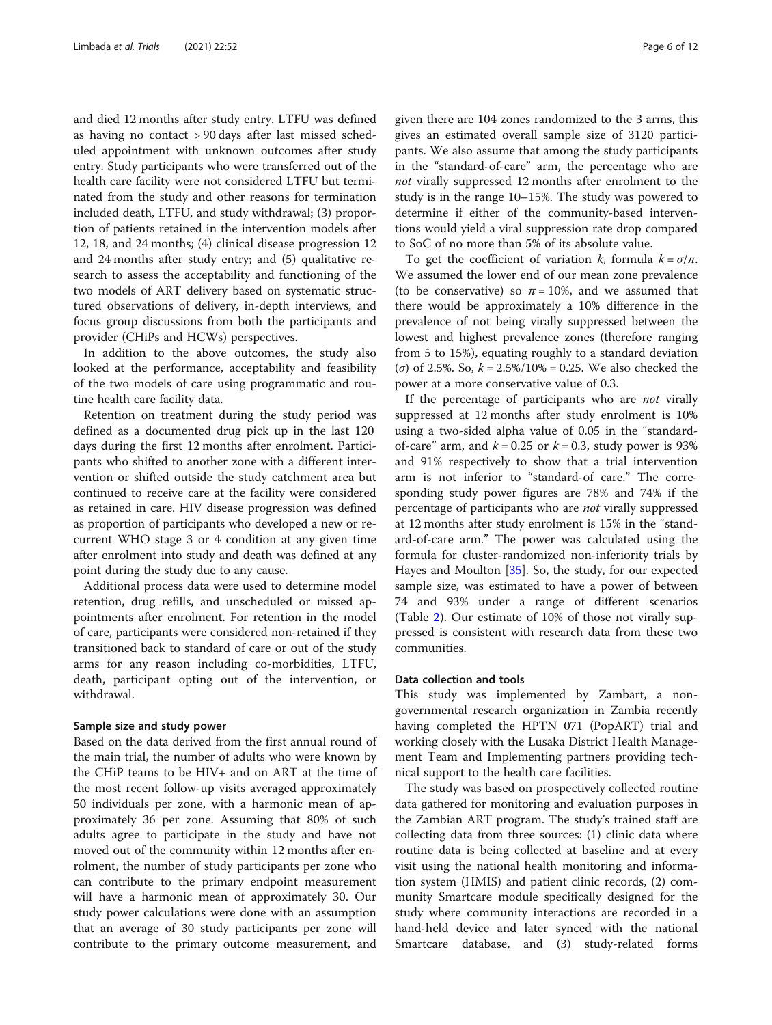and died 12 months after study entry. LTFU was defined as having no contact > 90 days after last missed scheduled appointment with unknown outcomes after study entry. Study participants who were transferred out of the health care facility were not considered LTFU but terminated from the study and other reasons for termination included death, LTFU, and study withdrawal; (3) proportion of patients retained in the intervention models after 12, 18, and 24 months; (4) clinical disease progression 12 and 24 months after study entry; and (5) qualitative research to assess the acceptability and functioning of the two models of ART delivery based on systematic structured observations of delivery, in-depth interviews, and focus group discussions from both the participants and provider (CHiPs and HCWs) perspectives.

In addition to the above outcomes, the study also looked at the performance, acceptability and feasibility of the two models of care using programmatic and routine health care facility data.

Retention on treatment during the study period was defined as a documented drug pick up in the last 120 days during the first 12 months after enrolment. Participants who shifted to another zone with a different intervention or shifted outside the study catchment area but continued to receive care at the facility were considered as retained in care. HIV disease progression was defined as proportion of participants who developed a new or recurrent WHO stage 3 or 4 condition at any given time after enrolment into study and death was defined at any point during the study due to any cause.

Additional process data were used to determine model retention, drug refills, and unscheduled or missed appointments after enrolment. For retention in the model of care, participants were considered non-retained if they transitioned back to standard of care or out of the study arms for any reason including co-morbidities, LTFU, death, participant opting out of the intervention, or withdrawal.

# Sample size and study power

Based on the data derived from the first annual round of the main trial, the number of adults who were known by the CHiP teams to be HIV+ and on ART at the time of the most recent follow-up visits averaged approximately 50 individuals per zone, with a harmonic mean of approximately 36 per zone. Assuming that 80% of such adults agree to participate in the study and have not moved out of the community within 12 months after enrolment, the number of study participants per zone who can contribute to the primary endpoint measurement will have a harmonic mean of approximately 30. Our study power calculations were done with an assumption that an average of 30 study participants per zone will contribute to the primary outcome measurement, and given there are 104 zones randomized to the 3 arms, this gives an estimated overall sample size of 3120 participants. We also assume that among the study participants in the "standard-of-care" arm, the percentage who are not virally suppressed 12 months after enrolment to the study is in the range 10–15%. The study was powered to determine if either of the community-based interventions would yield a viral suppression rate drop compared to SoC of no more than 5% of its absolute value.

To get the coefficient of variation k, formula  $k = \sigma/\pi$ . We assumed the lower end of our mean zone prevalence (to be conservative) so  $\pi = 10\%$ , and we assumed that there would be approximately a 10% difference in the prevalence of not being virally suppressed between the lowest and highest prevalence zones (therefore ranging from 5 to 15%), equating roughly to a standard deviation (σ) of 2.5%. So, k = 2.5%/10% = 0.25. We also checked the power at a more conservative value of 0.3.

If the percentage of participants who are *not* virally suppressed at 12 months after study enrolment is 10% using a two-sided alpha value of 0.05 in the "standardof-care" arm, and  $k = 0.25$  or  $k = 0.3$ , study power is 93% and 91% respectively to show that a trial intervention arm is not inferior to "standard-of care." The corresponding study power figures are 78% and 74% if the percentage of participants who are not virally suppressed at 12 months after study enrolment is 15% in the "standard-of-care arm." The power was calculated using the formula for cluster-randomized non-inferiority trials by Hayes and Moulton [[35\]](#page-11-0). So, the study, for our expected sample size, was estimated to have a power of between 74 and 93% under a range of different scenarios (Table [2](#page-6-0)). Our estimate of 10% of those not virally suppressed is consistent with research data from these two communities.

#### Data collection and tools

This study was implemented by Zambart, a nongovernmental research organization in Zambia recently having completed the HPTN 071 (PopART) trial and working closely with the Lusaka District Health Management Team and Implementing partners providing technical support to the health care facilities.

The study was based on prospectively collected routine data gathered for monitoring and evaluation purposes in the Zambian ART program. The study's trained staff are collecting data from three sources: (1) clinic data where routine data is being collected at baseline and at every visit using the national health monitoring and information system (HMIS) and patient clinic records, (2) community Smartcare module specifically designed for the study where community interactions are recorded in a hand-held device and later synced with the national Smartcare database, and (3) study-related forms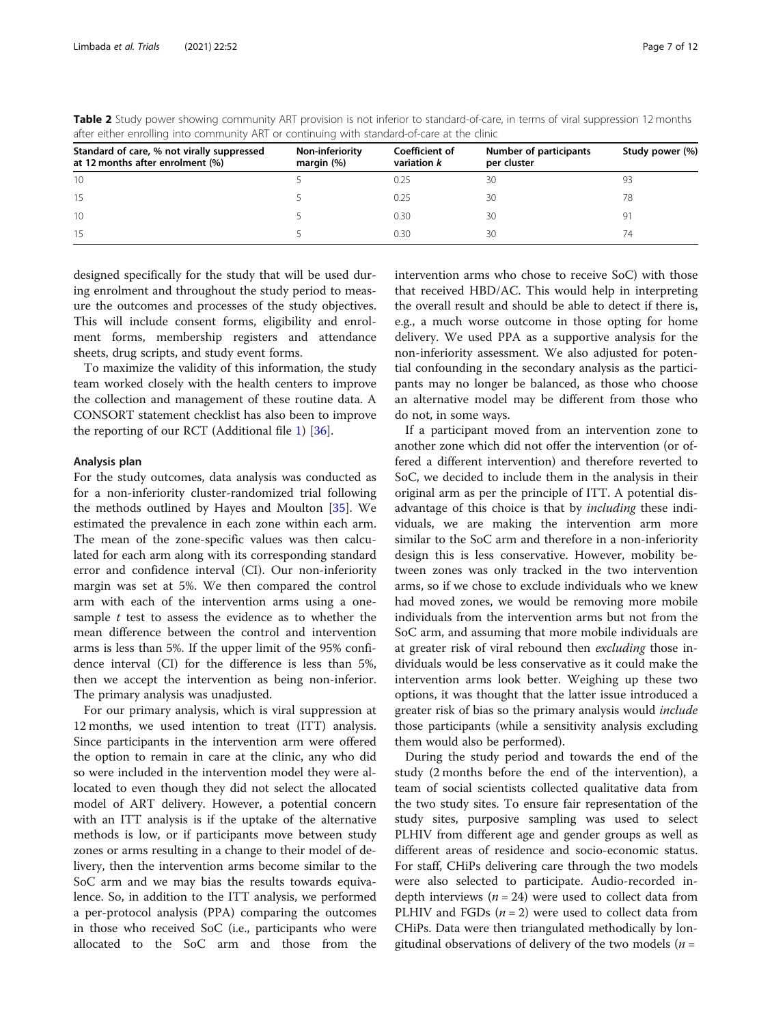| and driver chroming modernmannery had been analy with standard or care at the chine |                                 |                               |                                       |                 |  |  |  |
|-------------------------------------------------------------------------------------|---------------------------------|-------------------------------|---------------------------------------|-----------------|--|--|--|
| Standard of care, % not virally suppressed<br>at 12 months after enrolment (%)      | Non-inferiority<br>margin $(%)$ | Coefficient of<br>variation k | Number of participants<br>per cluster | Study power (%) |  |  |  |
| 10                                                                                  |                                 |                               | 30                                    |                 |  |  |  |
| -15                                                                                 |                                 | 0.25                          | 30                                    | 78              |  |  |  |
| 10                                                                                  |                                 | 0.30                          | 30                                    | 9ï              |  |  |  |
| 15                                                                                  |                                 | 0.30                          | 30                                    | 74              |  |  |  |

<span id="page-6-0"></span>Table 2 Study power showing community ART provision is not inferior to standard-of-care, in terms of viral suppression 12 months after either enrolling into community ART or continuing with standard-of-care at the clinic

designed specifically for the study that will be used during enrolment and throughout the study period to measure the outcomes and processes of the study objectives. This will include consent forms, eligibility and enrolment forms, membership registers and attendance sheets, drug scripts, and study event forms.

To maximize the validity of this information, the study team worked closely with the health centers to improve the collection and management of these routine data. A CONSORT statement checklist has also been to improve the reporting of our RCT (Additional file [1](#page-10-0)) [\[36](#page-11-0)].

#### Analysis plan

For the study outcomes, data analysis was conducted as for a non-inferiority cluster-randomized trial following the methods outlined by Hayes and Moulton [[35\]](#page-11-0). We estimated the prevalence in each zone within each arm. The mean of the zone-specific values was then calculated for each arm along with its corresponding standard error and confidence interval (CI). Our non-inferiority margin was set at 5%. We then compared the control arm with each of the intervention arms using a onesample  $t$  test to assess the evidence as to whether the mean difference between the control and intervention arms is less than 5%. If the upper limit of the 95% confidence interval (CI) for the difference is less than 5%, then we accept the intervention as being non-inferior. The primary analysis was unadjusted.

For our primary analysis, which is viral suppression at 12 months, we used intention to treat (ITT) analysis. Since participants in the intervention arm were offered the option to remain in care at the clinic, any who did so were included in the intervention model they were allocated to even though they did not select the allocated model of ART delivery. However, a potential concern with an ITT analysis is if the uptake of the alternative methods is low, or if participants move between study zones or arms resulting in a change to their model of delivery, then the intervention arms become similar to the SoC arm and we may bias the results towards equivalence. So, in addition to the ITT analysis, we performed a per-protocol analysis (PPA) comparing the outcomes in those who received SoC (i.e., participants who were allocated to the SoC arm and those from the intervention arms who chose to receive SoC) with those that received HBD/AC. This would help in interpreting the overall result and should be able to detect if there is, e.g., a much worse outcome in those opting for home delivery. We used PPA as a supportive analysis for the non-inferiority assessment. We also adjusted for potential confounding in the secondary analysis as the participants may no longer be balanced, as those who choose an alternative model may be different from those who do not, in some ways.

If a participant moved from an intervention zone to another zone which did not offer the intervention (or offered a different intervention) and therefore reverted to SoC, we decided to include them in the analysis in their original arm as per the principle of ITT. A potential disadvantage of this choice is that by *including* these individuals, we are making the intervention arm more similar to the SoC arm and therefore in a non-inferiority design this is less conservative. However, mobility between zones was only tracked in the two intervention arms, so if we chose to exclude individuals who we knew had moved zones, we would be removing more mobile individuals from the intervention arms but not from the SoC arm, and assuming that more mobile individuals are at greater risk of viral rebound then excluding those individuals would be less conservative as it could make the intervention arms look better. Weighing up these two options, it was thought that the latter issue introduced a greater risk of bias so the primary analysis would include those participants (while a sensitivity analysis excluding them would also be performed).

During the study period and towards the end of the study (2 months before the end of the intervention), a team of social scientists collected qualitative data from the two study sites. To ensure fair representation of the study sites, purposive sampling was used to select PLHIV from different age and gender groups as well as different areas of residence and socio-economic status. For staff, CHiPs delivering care through the two models were also selected to participate. Audio-recorded indepth interviews ( $n = 24$ ) were used to collect data from PLHIV and FGDs  $(n = 2)$  were used to collect data from CHiPs. Data were then triangulated methodically by longitudinal observations of delivery of the two models ( $n =$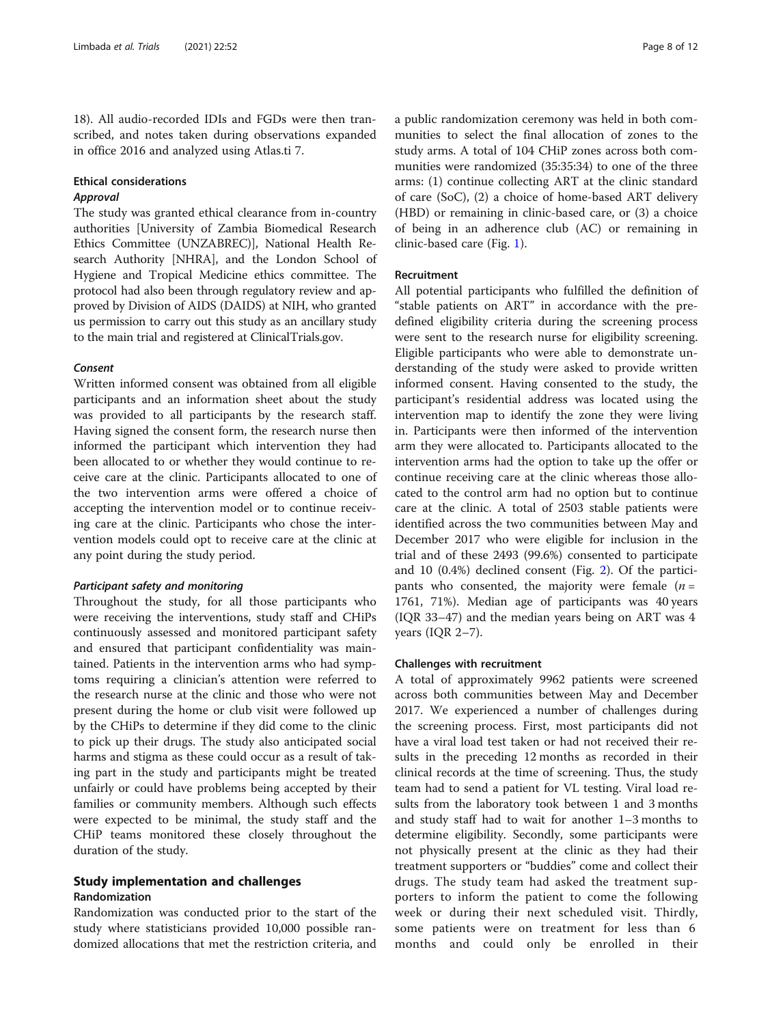18). All audio-recorded IDIs and FGDs were then transcribed, and notes taken during observations expanded in office 2016 and analyzed using Atlas.ti 7.

# Ethical considerations Approval

The study was granted ethical clearance from in-country authorities [University of Zambia Biomedical Research Ethics Committee (UNZABREC)], National Health Research Authority [NHRA], and the London School of Hygiene and Tropical Medicine ethics committee. The protocol had also been through regulatory review and approved by Division of AIDS (DAIDS) at NIH, who granted us permission to carry out this study as an ancillary study to the main trial and registered at ClinicalTrials.gov.

#### Consent

Written informed consent was obtained from all eligible participants and an information sheet about the study was provided to all participants by the research staff. Having signed the consent form, the research nurse then informed the participant which intervention they had been allocated to or whether they would continue to receive care at the clinic. Participants allocated to one of the two intervention arms were offered a choice of accepting the intervention model or to continue receiving care at the clinic. Participants who chose the intervention models could opt to receive care at the clinic at any point during the study period.

#### Participant safety and monitoring

Throughout the study, for all those participants who were receiving the interventions, study staff and CHiPs continuously assessed and monitored participant safety and ensured that participant confidentiality was maintained. Patients in the intervention arms who had symptoms requiring a clinician's attention were referred to the research nurse at the clinic and those who were not present during the home or club visit were followed up by the CHiPs to determine if they did come to the clinic to pick up their drugs. The study also anticipated social harms and stigma as these could occur as a result of taking part in the study and participants might be treated unfairly or could have problems being accepted by their families or community members. Although such effects were expected to be minimal, the study staff and the CHiP teams monitored these closely throughout the duration of the study.

# Study implementation and challenges Randomization

Randomization was conducted prior to the start of the study where statisticians provided 10,000 possible randomized allocations that met the restriction criteria, and a public randomization ceremony was held in both communities to select the final allocation of zones to the study arms. A total of 104 CHiP zones across both communities were randomized (35:35:34) to one of the three arms: (1) continue collecting ART at the clinic standard of care (SoC), (2) a choice of home-based ART delivery (HBD) or remaining in clinic-based care, or (3) a choice of being in an adherence club (AC) or remaining in clinic-based care (Fig. [1](#page-8-0)).

#### Recruitment

All potential participants who fulfilled the definition of "stable patients on ART" in accordance with the predefined eligibility criteria during the screening process were sent to the research nurse for eligibility screening. Eligible participants who were able to demonstrate understanding of the study were asked to provide written informed consent. Having consented to the study, the participant's residential address was located using the intervention map to identify the zone they were living in. Participants were then informed of the intervention arm they were allocated to. Participants allocated to the intervention arms had the option to take up the offer or continue receiving care at the clinic whereas those allocated to the control arm had no option but to continue care at the clinic. A total of 2503 stable patients were identified across the two communities between May and December 2017 who were eligible for inclusion in the trial and of these 2493 (99.6%) consented to participate and 10 (0.4%) declined consent (Fig. [2\)](#page-8-0). Of the participants who consented, the majority were female  $(n =$ 1761, 71%). Median age of participants was 40 years (IQR 33–47) and the median years being on ART was 4 years (IQR 2–7).

### Challenges with recruitment

A total of approximately 9962 patients were screened across both communities between May and December 2017. We experienced a number of challenges during the screening process. First, most participants did not have a viral load test taken or had not received their results in the preceding 12 months as recorded in their clinical records at the time of screening. Thus, the study team had to send a patient for VL testing. Viral load results from the laboratory took between 1 and 3 months and study staff had to wait for another 1–3 months to determine eligibility. Secondly, some participants were not physically present at the clinic as they had their treatment supporters or "buddies" come and collect their drugs. The study team had asked the treatment supporters to inform the patient to come the following week or during their next scheduled visit. Thirdly, some patients were on treatment for less than 6 months and could only be enrolled in their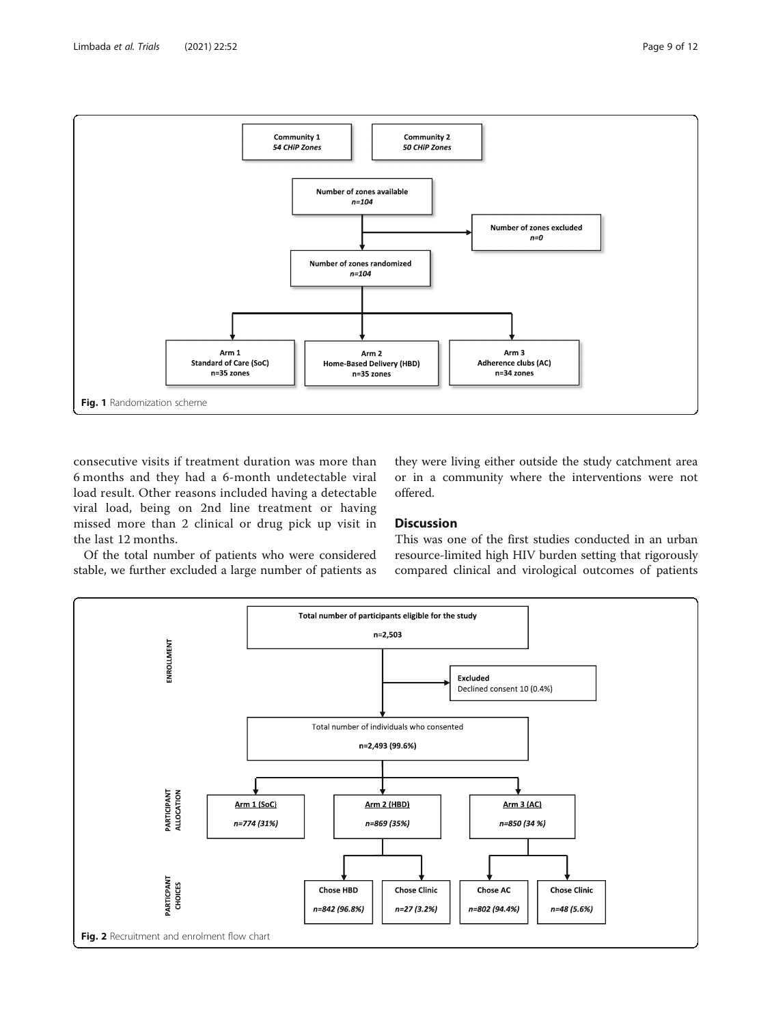<span id="page-8-0"></span>

consecutive visits if treatment duration was more than 6 months and they had a 6-month undetectable viral load result. Other reasons included having a detectable viral load, being on 2nd line treatment or having missed more than 2 clinical or drug pick up visit in the last 12 months.

Of the total number of patients who were considered stable, we further excluded a large number of patients as they were living either outside the study catchment area or in a community where the interventions were not offered.

# **Discussion**

This was one of the first studies conducted in an urban resource-limited high HIV burden setting that rigorously compared clinical and virological outcomes of patients

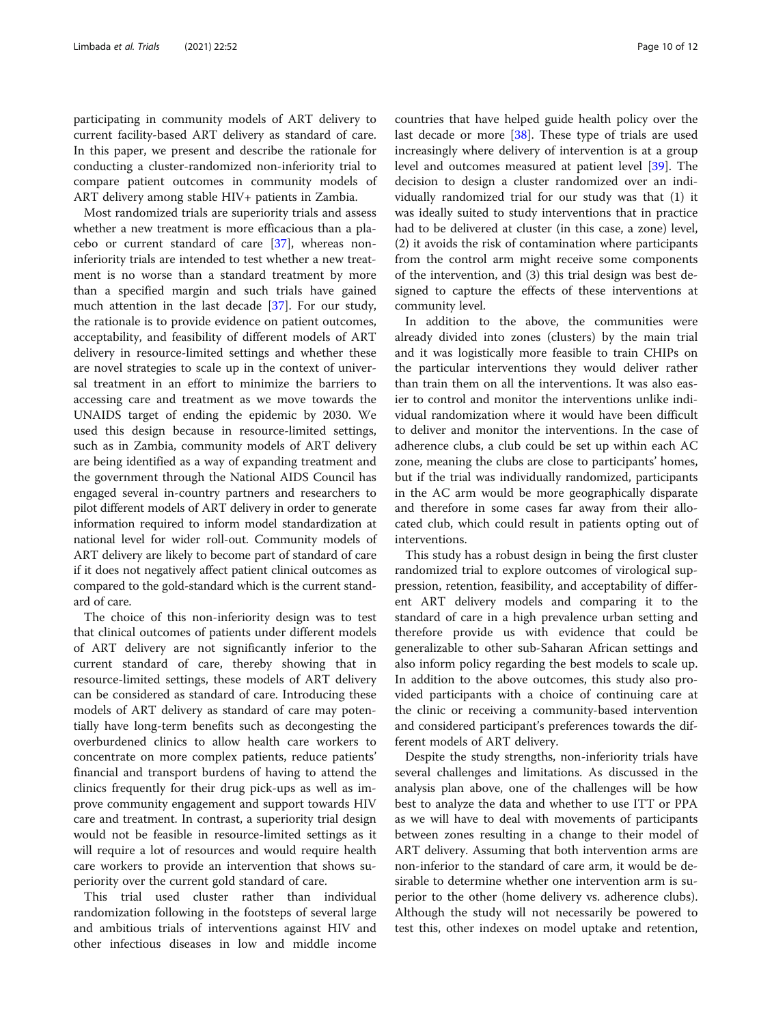participating in community models of ART delivery to current facility-based ART delivery as standard of care. In this paper, we present and describe the rationale for conducting a cluster-randomized non-inferiority trial to compare patient outcomes in community models of ART delivery among stable HIV+ patients in Zambia.

Most randomized trials are superiority trials and assess whether a new treatment is more efficacious than a placebo or current standard of care [[37\]](#page-11-0), whereas noninferiority trials are intended to test whether a new treatment is no worse than a standard treatment by more than a specified margin and such trials have gained much attention in the last decade [[37\]](#page-11-0). For our study, the rationale is to provide evidence on patient outcomes, acceptability, and feasibility of different models of ART delivery in resource-limited settings and whether these are novel strategies to scale up in the context of universal treatment in an effort to minimize the barriers to accessing care and treatment as we move towards the UNAIDS target of ending the epidemic by 2030. We used this design because in resource-limited settings, such as in Zambia, community models of ART delivery are being identified as a way of expanding treatment and the government through the National AIDS Council has engaged several in-country partners and researchers to pilot different models of ART delivery in order to generate information required to inform model standardization at national level for wider roll-out. Community models of ART delivery are likely to become part of standard of care if it does not negatively affect patient clinical outcomes as compared to the gold-standard which is the current standard of care.

The choice of this non-inferiority design was to test that clinical outcomes of patients under different models of ART delivery are not significantly inferior to the current standard of care, thereby showing that in resource-limited settings, these models of ART delivery can be considered as standard of care. Introducing these models of ART delivery as standard of care may potentially have long-term benefits such as decongesting the overburdened clinics to allow health care workers to concentrate on more complex patients, reduce patients' financial and transport burdens of having to attend the clinics frequently for their drug pick-ups as well as improve community engagement and support towards HIV care and treatment. In contrast, a superiority trial design would not be feasible in resource-limited settings as it will require a lot of resources and would require health care workers to provide an intervention that shows superiority over the current gold standard of care.

This trial used cluster rather than individual randomization following in the footsteps of several large and ambitious trials of interventions against HIV and other infectious diseases in low and middle income countries that have helped guide health policy over the last decade or more [\[38\]](#page-11-0). These type of trials are used increasingly where delivery of intervention is at a group level and outcomes measured at patient level [\[39\]](#page-11-0). The decision to design a cluster randomized over an individually randomized trial for our study was that (1) it was ideally suited to study interventions that in practice had to be delivered at cluster (in this case, a zone) level, (2) it avoids the risk of contamination where participants from the control arm might receive some components of the intervention, and (3) this trial design was best designed to capture the effects of these interventions at community level.

In addition to the above, the communities were already divided into zones (clusters) by the main trial and it was logistically more feasible to train CHIPs on the particular interventions they would deliver rather than train them on all the interventions. It was also easier to control and monitor the interventions unlike individual randomization where it would have been difficult to deliver and monitor the interventions. In the case of adherence clubs, a club could be set up within each AC zone, meaning the clubs are close to participants' homes, but if the trial was individually randomized, participants in the AC arm would be more geographically disparate and therefore in some cases far away from their allocated club, which could result in patients opting out of interventions.

This study has a robust design in being the first cluster randomized trial to explore outcomes of virological suppression, retention, feasibility, and acceptability of different ART delivery models and comparing it to the standard of care in a high prevalence urban setting and therefore provide us with evidence that could be generalizable to other sub-Saharan African settings and also inform policy regarding the best models to scale up. In addition to the above outcomes, this study also provided participants with a choice of continuing care at the clinic or receiving a community-based intervention and considered participant's preferences towards the different models of ART delivery.

Despite the study strengths, non-inferiority trials have several challenges and limitations. As discussed in the analysis plan above, one of the challenges will be how best to analyze the data and whether to use ITT or PPA as we will have to deal with movements of participants between zones resulting in a change to their model of ART delivery. Assuming that both intervention arms are non-inferior to the standard of care arm, it would be desirable to determine whether one intervention arm is superior to the other (home delivery vs. adherence clubs). Although the study will not necessarily be powered to test this, other indexes on model uptake and retention,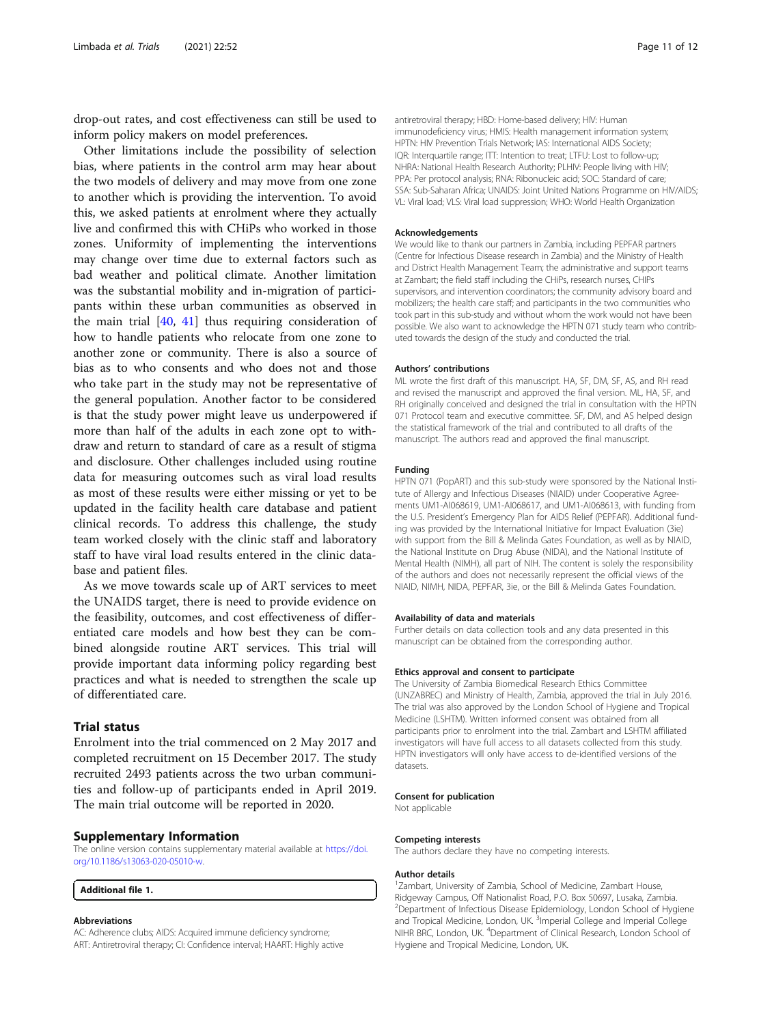<span id="page-10-0"></span>drop-out rates, and cost effectiveness can still be used to inform policy makers on model preferences.

Other limitations include the possibility of selection bias, where patients in the control arm may hear about the two models of delivery and may move from one zone to another which is providing the intervention. To avoid this, we asked patients at enrolment where they actually live and confirmed this with CHiPs who worked in those zones. Uniformity of implementing the interventions may change over time due to external factors such as bad weather and political climate. Another limitation was the substantial mobility and in-migration of participants within these urban communities as observed in the main trial [[40,](#page-11-0) [41](#page-11-0)] thus requiring consideration of how to handle patients who relocate from one zone to another zone or community. There is also a source of bias as to who consents and who does not and those who take part in the study may not be representative of the general population. Another factor to be considered is that the study power might leave us underpowered if more than half of the adults in each zone opt to withdraw and return to standard of care as a result of stigma and disclosure. Other challenges included using routine data for measuring outcomes such as viral load results as most of these results were either missing or yet to be updated in the facility health care database and patient clinical records. To address this challenge, the study team worked closely with the clinic staff and laboratory staff to have viral load results entered in the clinic database and patient files.

As we move towards scale up of ART services to meet the UNAIDS target, there is need to provide evidence on the feasibility, outcomes, and cost effectiveness of differentiated care models and how best they can be combined alongside routine ART services. This trial will provide important data informing policy regarding best practices and what is needed to strengthen the scale up of differentiated care.

# Trial status

Enrolment into the trial commenced on 2 May 2017 and completed recruitment on 15 December 2017. The study recruited 2493 patients across the two urban communities and follow-up of participants ended in April 2019. The main trial outcome will be reported in 2020.

#### Supplementary Information

The online version contains supplementary material available at [https://doi.](https://doi.org/10.1186/s13063-020-05010-w) [org/10.1186/s13063-020-05010-w](https://doi.org/10.1186/s13063-020-05010-w).

Additional file 1.

#### Abbreviations

AC: Adherence clubs; AIDS: Acquired immune deficiency syndrome; ART: Antiretroviral therapy; CI: Confidence interval; HAART: Highly active antiretroviral therapy; HBD: Home-based delivery; HIV: Human immunodeficiency virus; HMIS: Health management information system; HPTN: HIV Prevention Trials Network; IAS: International AIDS Society; IQR: Interquartile range; ITT: Intention to treat; LTFU: Lost to follow-up; NHRA: National Health Research Authority; PLHIV: People living with HIV; PPA: Per protocol analysis; RNA: Ribonucleic acid; SOC: Standard of care; SSA: Sub-Saharan Africa; UNAIDS: Joint United Nations Programme on HIV/AIDS; VL: Viral load; VLS: Viral load suppression; WHO: World Health Organization

#### Acknowledgements

We would like to thank our partners in Zambia, including PEPFAR partners (Centre for Infectious Disease research in Zambia) and the Ministry of Health and District Health Management Team; the administrative and support teams at Zambart; the field staff including the CHiPs, research nurses, CHIPs supervisors, and intervention coordinators; the community advisory board and mobilizers; the health care staff; and participants in the two communities who took part in this sub-study and without whom the work would not have been possible. We also want to acknowledge the HPTN 071 study team who contributed towards the design of the study and conducted the trial.

#### Authors' contributions

ML wrote the first draft of this manuscript. HA, SF, DM, SF, AS, and RH read and revised the manuscript and approved the final version. ML, HA, SF, and RH originally conceived and designed the trial in consultation with the HPTN 071 Protocol team and executive committee. SF, DM, and AS helped design the statistical framework of the trial and contributed to all drafts of the manuscript. The authors read and approved the final manuscript.

#### Funding

HPTN 071 (PopART) and this sub-study were sponsored by the National Institute of Allergy and Infectious Diseases (NIAID) under Cooperative Agreements UM1-AI068619, UM1-AI068617, and UM1-AI068613, with funding from the U.S. President's Emergency Plan for AIDS Relief (PEPFAR). Additional funding was provided by the International Initiative for Impact Evaluation (3ie) with support from the Bill & Melinda Gates Foundation, as well as by NIAID, the National Institute on Drug Abuse (NIDA), and the National Institute of Mental Health (NIMH), all part of NIH. The content is solely the responsibility of the authors and does not necessarily represent the official views of the NIAID, NIMH, NIDA, PEPFAR, 3ie, or the Bill & Melinda Gates Foundation.

#### Availability of data and materials

Further details on data collection tools and any data presented in this manuscript can be obtained from the corresponding author.

#### Ethics approval and consent to participate

The University of Zambia Biomedical Research Ethics Committee (UNZABREC) and Ministry of Health, Zambia, approved the trial in July 2016. The trial was also approved by the London School of Hygiene and Tropical Medicine (LSHTM). Written informed consent was obtained from all participants prior to enrolment into the trial. Zambart and LSHTM affiliated investigators will have full access to all datasets collected from this study. HPTN investigators will only have access to de-identified versions of the datasets.

#### Consent for publication

Not applicable

#### Competing interests

The authors declare they have no competing interests.

#### Author details

<sup>1</sup> Zambart, University of Zambia, School of Medicine, Zambart House, Ridgeway Campus, Off Nationalist Road, P.O. Box 50697, Lusaka, Zambia. <sup>2</sup>Department of Infectious Disease Epidemiology, London School of Hygiene and Tropical Medicine, London, UK.<sup>3</sup> Imperial College and Imperial College NIHR BRC, London, UK. <sup>4</sup>Department of Clinical Research, London School of Hygiene and Tropical Medicine, London, UK.